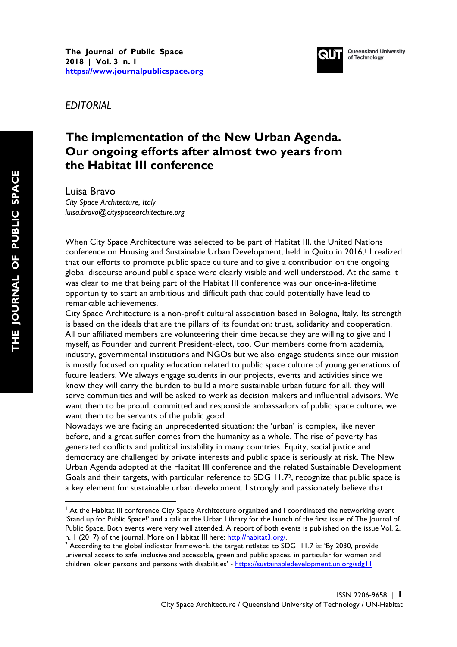

**Queensland University** of Technology

*EDITORIAL*

## **The implementation of the New Urban Agenda. Our ongoing efforts after almost two years from the Habitat III conference**

Luisa Bravo

*City Space Architecture, Italy luisa.bravo@cityspacearchitecture.org*

 

When City Space Architecture was selected to be part of Habitat III, the United Nations conference on Housing and Sustainable Urban Development, held in Quito in 2016,<sup>1</sup> I realized that our efforts to promote public space culture and to give a contribution on the ongoing global discourse around public space were clearly visible and well understood. At the same it was clear to me that being part of the Habitat III conference was our once-in-a-lifetime opportunity to start an ambitious and difficult path that could potentially have lead to remarkable achievements.

City Space Architecture is a non-profit cultural association based in Bologna, Italy. Its strength is based on the ideals that are the pillars of its foundation: trust, solidarity and cooperation. All our affiliated members are volunteering their time because they are willing to give and I myself, as Founder and current President-elect, too. Our members come from academia, industry, governmental institutions and NGOs but we also engage students since our mission is mostly focused on quality education related to public space culture of young generations of future leaders. We always engage students in our projects, events and activities since we know they will carry the burden to build a more sustainable urban future for all, they will serve communities and will be asked to work as decision makers and influential advisors. We want them to be proud, committed and responsible ambassadors of public space culture, we want them to be servants of the public good.

Nowadays we are facing an unprecedented situation: the 'urban' is complex, like never before, and a great suffer comes from the humanity as a whole. The rise of poverty has generated conflicts and political instability in many countries. Equity, social justice and democracy are challenged by private interests and public space is seriously at risk. The New Urban Agenda adopted at the Habitat III conference and the related Sustainable Development Goals and their targets, with particular reference to SDG 11.72, recognize that public space is a key element for sustainable urban development. I strongly and passionately believe that

<sup>&</sup>lt;sup>1</sup> At the Habitat III conference City Space Architecture organized and I coordinated the networking event 'Stand up for Public Space!' and a talk at the Urban Library for the launch of the first issue of The Journal of Public Space. Both events were very well attended. A report of both events is published on the issue Vol. 2,

n. 1 (2017) of the journal. More on Habitat III here: <u>http://habitat3.org/</u>.<br><sup>2</sup> According to the global indicator framework, the target retlated to SDG 11.7 is: 'By 2030, provide universal access to safe, inclusive and accessible, green and public spaces, in particular for women and children, older persons and persons with disabilities' - https://sustainabledevelopment.un.org/sdg11